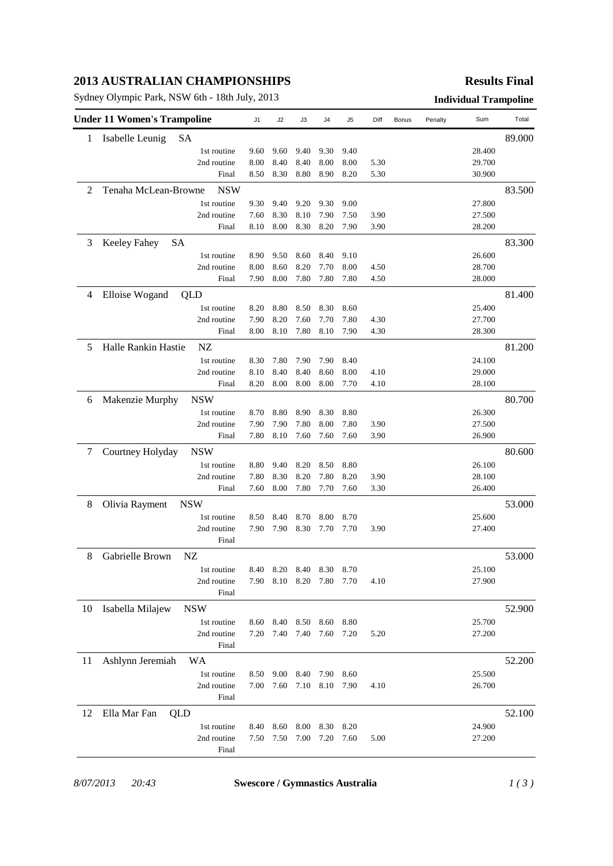## **2013 AUSTRALIAN CHAMPIONSHIPS**

Sydney Olympic Park, NSW 6th - 18th July, 2013 **Individual Trampoline**

#### **Results Final**

| <b>Under 11 Women's Trampoline</b> |                              |             | J1   | J2   | JЗ        | J4                       | J5   | Diff | Bonus | Penalty | Sum    | Total  |
|------------------------------------|------------------------------|-------------|------|------|-----------|--------------------------|------|------|-------|---------|--------|--------|
| 1                                  | Isabelle Leunig              | SA          |      |      |           |                          |      |      |       |         |        | 89.000 |
|                                    |                              | 1st routine | 9.60 | 9.60 | 9.40      | 9.30                     | 9.40 |      |       |         | 28.400 |        |
|                                    |                              | 2nd routine | 8.00 | 8.40 | 8.40      | 8.00                     | 8.00 | 5.30 |       |         | 29.700 |        |
|                                    |                              | Final       | 8.50 | 8.30 | 8.80      | 8.90                     | 8.20 | 5.30 |       |         | 30.900 |        |
| 2                                  | Tenaha McLean-Browne         | <b>NSW</b>  |      |      |           |                          |      |      |       |         |        | 83.500 |
|                                    |                              | 1st routine | 9.30 | 9.40 | 9.20      | 9.30                     | 9.00 |      |       |         | 27.800 |        |
|                                    |                              | 2nd routine | 7.60 | 8.30 | 8.10      | 7.90                     | 7.50 | 3.90 |       |         | 27.500 |        |
|                                    |                              | Final       | 8.10 | 8.00 | 8.30      | 8.20                     | 7.90 | 3.90 |       |         | 28.200 |        |
| 3                                  | Keeley Fahey<br><b>SA</b>    |             |      |      |           |                          |      |      |       |         |        | 83.300 |
|                                    |                              | 1st routine | 8.90 | 9.50 | 8.60      | 8.40                     | 9.10 |      |       |         | 26.600 |        |
|                                    |                              | 2nd routine | 8.00 | 8.60 | 8.20      | 7.70                     | 8.00 | 4.50 |       |         | 28.700 |        |
|                                    |                              | Final       | 7.90 | 8.00 | 7.80      | 7.80                     | 7.80 | 4.50 |       |         | 28.000 |        |
| 4                                  | Elloise Wogand               | QLD         |      |      |           |                          |      |      |       |         |        | 81.400 |
|                                    |                              | 1st routine | 8.20 | 8.80 | 8.50      | 8.30                     | 8.60 |      |       |         | 25.400 |        |
|                                    |                              | 2nd routine | 7.90 | 8.20 | 7.60      | 7.70                     | 7.80 | 4.30 |       |         | 27.700 |        |
|                                    |                              | Final       | 8.00 | 8.10 | 7.80      | 8.10                     | 7.90 | 4.30 |       |         | 28.300 |        |
| 5                                  | Halle Rankin Hastie          | NZ          |      |      |           |                          |      |      |       |         |        | 81.200 |
|                                    |                              | 1st routine | 8.30 | 7.80 | 7.90      | 7.90                     | 8.40 |      |       |         | 24.100 |        |
|                                    |                              | 2nd routine | 8.10 | 8.40 | 8.40      | 8.60                     | 8.00 | 4.10 |       |         | 29.000 |        |
|                                    |                              | Final       | 8.20 | 8.00 | 8.00      | 8.00                     | 7.70 | 4.10 |       |         | 28.100 |        |
| 6                                  | Makenzie Murphy              | <b>NSW</b>  |      |      |           |                          |      |      |       |         |        | 80.700 |
|                                    |                              | 1st routine | 8.70 | 8.80 | 8.90      | 8.30                     | 8.80 |      |       |         | 26.300 |        |
|                                    |                              | 2nd routine | 7.90 | 7.90 | 7.80      | 8.00                     | 7.80 | 3.90 |       |         | 27.500 |        |
|                                    |                              | Final       | 7.80 | 8.10 | 7.60      | 7.60                     | 7.60 | 3.90 |       |         | 26.900 |        |
| 7                                  | Courtney Holyday             | <b>NSW</b>  |      |      |           |                          |      |      |       |         |        | 80.600 |
|                                    |                              | 1st routine | 8.80 | 9.40 | 8.20      | 8.50                     | 8.80 |      |       |         | 26.100 |        |
|                                    |                              | 2nd routine | 7.80 | 8.30 | 8.20      | 7.80                     | 8.20 | 3.90 |       |         | 28.100 |        |
|                                    |                              | Final       | 7.60 | 8.00 | 7.80      | 7.70                     | 7.60 | 3.30 |       |         | 26.400 |        |
| 8                                  | Olivia Rayment<br><b>NSW</b> |             |      |      |           |                          |      |      |       |         |        | 53.000 |
|                                    |                              | 1st routine | 8.50 | 8.40 | 8.70      | 8.00                     | 8.70 |      |       |         | 25.600 |        |
|                                    |                              | 2nd routine | 7.90 | 7.90 | 8.30      | 7.70                     | 7.70 | 3.90 |       |         | 27.400 |        |
|                                    |                              | Final       |      |      |           |                          |      |      |       |         |        |        |
| 8                                  | Gabrielle Brown              | NZ          |      |      |           |                          |      |      |       |         |        | 53.000 |
|                                    |                              | 1st routine | 8.40 |      | 8.20 8.40 | 8.30 8.70                |      |      |       |         | 25.100 |        |
|                                    |                              | 2nd routine |      |      |           | 7.90 8.10 8.20 7.80 7.70 |      | 4.10 |       |         | 27.900 |        |
|                                    |                              | Final       |      |      |           |                          |      |      |       |         |        |        |
| 10                                 | Isabella Milajew             | <b>NSW</b>  |      |      |           |                          |      |      |       |         |        | 52.900 |
|                                    |                              | 1st routine | 8.60 | 8.40 | 8.50      | 8.60                     | 8.80 |      |       |         | 25.700 |        |
|                                    |                              | 2nd routine | 7.20 | 7.40 | 7.40      | 7.60                     | 7.20 | 5.20 |       |         | 27.200 |        |
|                                    |                              | Final       |      |      |           |                          |      |      |       |         |        |        |
| 11                                 | Ashlynn Jeremiah             | WA          |      |      |           |                          |      |      |       |         |        | 52.200 |
|                                    |                              | 1st routine | 8.50 | 9.00 | 8.40      | 7.90                     | 8.60 |      |       |         | 25.500 |        |
|                                    |                              | 2nd routine | 7.00 | 7.60 | 7.10      | 8.10                     | 7.90 | 4.10 |       |         | 26.700 |        |
|                                    |                              | Final       |      |      |           |                          |      |      |       |         |        |        |
| 12                                 | Ella Mar Fan<br>QLD          |             |      |      |           |                          |      |      |       |         |        | 52.100 |
|                                    |                              | 1st routine | 8.40 | 8.60 | 8.00      | 8.30                     | 8.20 |      |       |         | 24.900 |        |
|                                    |                              | 2nd routine | 7.50 | 7.50 | 7.00      | 7.20                     | 7.60 | 5.00 |       |         | 27.200 |        |
|                                    |                              | Final       |      |      |           |                          |      |      |       |         |        |        |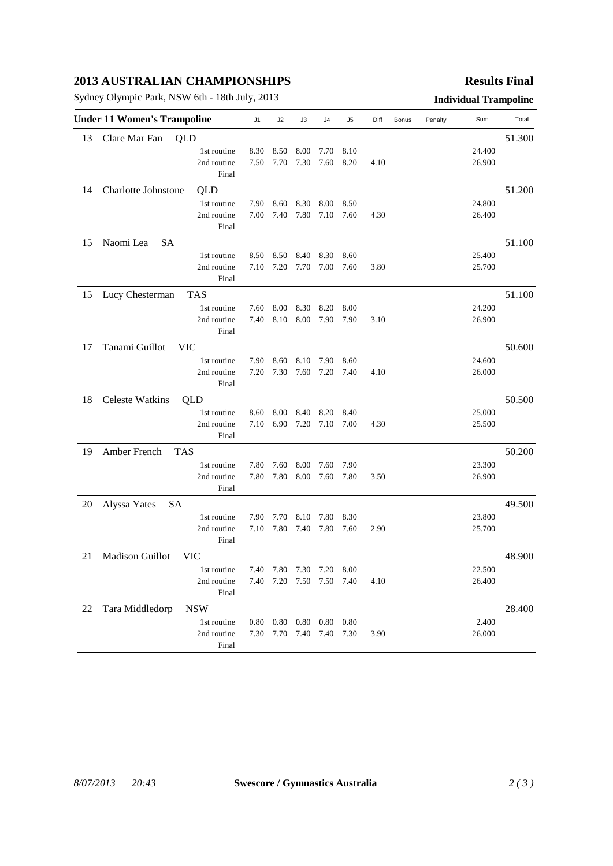## **2013 AUSTRALIAN CHAMPIONSHIPS**

Sydney Olympic Park, NSW 6th - 18th July, 2013 **Individual Trampoline**

### **Results Final**

| 13<br>Clare Mar Fan<br>QLD<br>51.300<br>24.400<br>1st routine<br>8.30<br>8.10<br>8.50<br>8.00<br>7.70<br>7.30<br>7.60<br>8.20<br>26.900<br>2nd routine<br>7.50<br>7.70<br>4.10<br>Final<br>Charlotte Johnstone<br>QLD<br>51.200<br>14<br>24.800<br>1st routine<br>7.90<br>8.60<br>8.30<br>8.00<br>8.50<br>2nd routine<br>7.80<br>7.60<br>26.400<br>7.00<br>7.40<br>7.10<br>4.30<br>Final<br>Naomi Lea<br>51.100<br>15<br>SA<br>25.400<br>1st routine<br>8.50<br>8.50<br>8.40<br>8.30<br>8.60<br>7.10<br>7.20<br>7.70<br>7.00<br>25.700<br>2nd routine<br>7.60<br>3.80<br>Final<br>51.100<br>15<br>Lucy Chesterman<br>TAS<br>24.200<br>1st routine<br>7.60<br>8.00<br>8.30<br>8.20<br>8.00<br>2nd routine<br>7.40<br>8.10<br>8.00<br>7.90<br>7.90<br>3.10<br>26.900<br>Final<br>Tanami Guillot<br>17<br><b>VIC</b><br>50.600<br>24.600<br>1st routine<br>7.90<br>8.60<br>8.10<br>7.90<br>8.60<br>2nd routine<br>7.20<br>7.30<br>7.60<br>7.20<br>4.10<br>26.000<br>7.40<br>Final<br><b>Celeste Watkins</b><br>50.500<br>18<br>QLD<br>1st routine<br>25.000<br>8.60<br>8.00<br>8.40<br>8.20<br>8.40<br>2nd routine<br>7.10<br>6.90<br>7.20<br>7.10<br>7.00<br>4.30<br>25.500<br>Final<br>Amber French<br>50.200<br>19<br><b>TAS</b><br>1st routine<br>23.300<br>7.80<br>7.60<br>8.00<br>7.60<br>7.90<br>26.900<br>2nd routine<br>7.80<br>7.80<br>8.00<br>7.60<br>7.80<br>3.50<br>Final<br>Alyssa Yates<br>SA<br>49.500<br>20<br>1st routine<br>23.800<br>7.90<br>7.70<br>8.10<br>7.80<br>8.30<br>2nd routine<br>7.10<br>7.80<br>7.40<br>2.90<br>25.700<br>7.80<br>7.60<br>Final<br>Madison Guillot<br><b>VIC</b><br>48.900<br>21<br>22.500<br>7.40 7.80 7.30<br>1st routine<br>7.20 8.00<br>2nd routine<br>7.40 7.20 7.50 7.50 7.40<br>4.10<br>26.400<br>Final<br>Tara Middledorp<br><b>NSW</b><br>22<br>28.400<br>2.400<br>1st routine<br>$0.80$ $0.80$ $0.80$<br>$0.80\quad 0.80$<br>2nd routine<br>7.30 7.70 7.40 7.40 7.30<br>26.000<br>3.90<br>Final | <b>Under 11 Women's Trampoline</b> |  |  | J1 | J2 | J3 | J4 | J5 | Diff | Bonus | Penalty | Sum | Total |
|--------------------------------------------------------------------------------------------------------------------------------------------------------------------------------------------------------------------------------------------------------------------------------------------------------------------------------------------------------------------------------------------------------------------------------------------------------------------------------------------------------------------------------------------------------------------------------------------------------------------------------------------------------------------------------------------------------------------------------------------------------------------------------------------------------------------------------------------------------------------------------------------------------------------------------------------------------------------------------------------------------------------------------------------------------------------------------------------------------------------------------------------------------------------------------------------------------------------------------------------------------------------------------------------------------------------------------------------------------------------------------------------------------------------------------------------------------------------------------------------------------------------------------------------------------------------------------------------------------------------------------------------------------------------------------------------------------------------------------------------------------------------------------------------------------------------------------------------------------------------------------------------------------------------------------------------------------|------------------------------------|--|--|----|----|----|----|----|------|-------|---------|-----|-------|
|                                                                                                                                                                                                                                                                                                                                                                                                                                                                                                                                                                                                                                                                                                                                                                                                                                                                                                                                                                                                                                                                                                                                                                                                                                                                                                                                                                                                                                                                                                                                                                                                                                                                                                                                                                                                                                                                                                                                                        |                                    |  |  |    |    |    |    |    |      |       |         |     |       |
|                                                                                                                                                                                                                                                                                                                                                                                                                                                                                                                                                                                                                                                                                                                                                                                                                                                                                                                                                                                                                                                                                                                                                                                                                                                                                                                                                                                                                                                                                                                                                                                                                                                                                                                                                                                                                                                                                                                                                        |                                    |  |  |    |    |    |    |    |      |       |         |     |       |
|                                                                                                                                                                                                                                                                                                                                                                                                                                                                                                                                                                                                                                                                                                                                                                                                                                                                                                                                                                                                                                                                                                                                                                                                                                                                                                                                                                                                                                                                                                                                                                                                                                                                                                                                                                                                                                                                                                                                                        |                                    |  |  |    |    |    |    |    |      |       |         |     |       |
|                                                                                                                                                                                                                                                                                                                                                                                                                                                                                                                                                                                                                                                                                                                                                                                                                                                                                                                                                                                                                                                                                                                                                                                                                                                                                                                                                                                                                                                                                                                                                                                                                                                                                                                                                                                                                                                                                                                                                        |                                    |  |  |    |    |    |    |    |      |       |         |     |       |
|                                                                                                                                                                                                                                                                                                                                                                                                                                                                                                                                                                                                                                                                                                                                                                                                                                                                                                                                                                                                                                                                                                                                                                                                                                                                                                                                                                                                                                                                                                                                                                                                                                                                                                                                                                                                                                                                                                                                                        |                                    |  |  |    |    |    |    |    |      |       |         |     |       |
|                                                                                                                                                                                                                                                                                                                                                                                                                                                                                                                                                                                                                                                                                                                                                                                                                                                                                                                                                                                                                                                                                                                                                                                                                                                                                                                                                                                                                                                                                                                                                                                                                                                                                                                                                                                                                                                                                                                                                        |                                    |  |  |    |    |    |    |    |      |       |         |     |       |
|                                                                                                                                                                                                                                                                                                                                                                                                                                                                                                                                                                                                                                                                                                                                                                                                                                                                                                                                                                                                                                                                                                                                                                                                                                                                                                                                                                                                                                                                                                                                                                                                                                                                                                                                                                                                                                                                                                                                                        |                                    |  |  |    |    |    |    |    |      |       |         |     |       |
|                                                                                                                                                                                                                                                                                                                                                                                                                                                                                                                                                                                                                                                                                                                                                                                                                                                                                                                                                                                                                                                                                                                                                                                                                                                                                                                                                                                                                                                                                                                                                                                                                                                                                                                                                                                                                                                                                                                                                        |                                    |  |  |    |    |    |    |    |      |       |         |     |       |
|                                                                                                                                                                                                                                                                                                                                                                                                                                                                                                                                                                                                                                                                                                                                                                                                                                                                                                                                                                                                                                                                                                                                                                                                                                                                                                                                                                                                                                                                                                                                                                                                                                                                                                                                                                                                                                                                                                                                                        |                                    |  |  |    |    |    |    |    |      |       |         |     |       |
|                                                                                                                                                                                                                                                                                                                                                                                                                                                                                                                                                                                                                                                                                                                                                                                                                                                                                                                                                                                                                                                                                                                                                                                                                                                                                                                                                                                                                                                                                                                                                                                                                                                                                                                                                                                                                                                                                                                                                        |                                    |  |  |    |    |    |    |    |      |       |         |     |       |
|                                                                                                                                                                                                                                                                                                                                                                                                                                                                                                                                                                                                                                                                                                                                                                                                                                                                                                                                                                                                                                                                                                                                                                                                                                                                                                                                                                                                                                                                                                                                                                                                                                                                                                                                                                                                                                                                                                                                                        |                                    |  |  |    |    |    |    |    |      |       |         |     |       |
|                                                                                                                                                                                                                                                                                                                                                                                                                                                                                                                                                                                                                                                                                                                                                                                                                                                                                                                                                                                                                                                                                                                                                                                                                                                                                                                                                                                                                                                                                                                                                                                                                                                                                                                                                                                                                                                                                                                                                        |                                    |  |  |    |    |    |    |    |      |       |         |     |       |
|                                                                                                                                                                                                                                                                                                                                                                                                                                                                                                                                                                                                                                                                                                                                                                                                                                                                                                                                                                                                                                                                                                                                                                                                                                                                                                                                                                                                                                                                                                                                                                                                                                                                                                                                                                                                                                                                                                                                                        |                                    |  |  |    |    |    |    |    |      |       |         |     |       |
|                                                                                                                                                                                                                                                                                                                                                                                                                                                                                                                                                                                                                                                                                                                                                                                                                                                                                                                                                                                                                                                                                                                                                                                                                                                                                                                                                                                                                                                                                                                                                                                                                                                                                                                                                                                                                                                                                                                                                        |                                    |  |  |    |    |    |    |    |      |       |         |     |       |
|                                                                                                                                                                                                                                                                                                                                                                                                                                                                                                                                                                                                                                                                                                                                                                                                                                                                                                                                                                                                                                                                                                                                                                                                                                                                                                                                                                                                                                                                                                                                                                                                                                                                                                                                                                                                                                                                                                                                                        |                                    |  |  |    |    |    |    |    |      |       |         |     |       |
|                                                                                                                                                                                                                                                                                                                                                                                                                                                                                                                                                                                                                                                                                                                                                                                                                                                                                                                                                                                                                                                                                                                                                                                                                                                                                                                                                                                                                                                                                                                                                                                                                                                                                                                                                                                                                                                                                                                                                        |                                    |  |  |    |    |    |    |    |      |       |         |     |       |
|                                                                                                                                                                                                                                                                                                                                                                                                                                                                                                                                                                                                                                                                                                                                                                                                                                                                                                                                                                                                                                                                                                                                                                                                                                                                                                                                                                                                                                                                                                                                                                                                                                                                                                                                                                                                                                                                                                                                                        |                                    |  |  |    |    |    |    |    |      |       |         |     |       |
|                                                                                                                                                                                                                                                                                                                                                                                                                                                                                                                                                                                                                                                                                                                                                                                                                                                                                                                                                                                                                                                                                                                                                                                                                                                                                                                                                                                                                                                                                                                                                                                                                                                                                                                                                                                                                                                                                                                                                        |                                    |  |  |    |    |    |    |    |      |       |         |     |       |
|                                                                                                                                                                                                                                                                                                                                                                                                                                                                                                                                                                                                                                                                                                                                                                                                                                                                                                                                                                                                                                                                                                                                                                                                                                                                                                                                                                                                                                                                                                                                                                                                                                                                                                                                                                                                                                                                                                                                                        |                                    |  |  |    |    |    |    |    |      |       |         |     |       |
|                                                                                                                                                                                                                                                                                                                                                                                                                                                                                                                                                                                                                                                                                                                                                                                                                                                                                                                                                                                                                                                                                                                                                                                                                                                                                                                                                                                                                                                                                                                                                                                                                                                                                                                                                                                                                                                                                                                                                        |                                    |  |  |    |    |    |    |    |      |       |         |     |       |
|                                                                                                                                                                                                                                                                                                                                                                                                                                                                                                                                                                                                                                                                                                                                                                                                                                                                                                                                                                                                                                                                                                                                                                                                                                                                                                                                                                                                                                                                                                                                                                                                                                                                                                                                                                                                                                                                                                                                                        |                                    |  |  |    |    |    |    |    |      |       |         |     |       |
|                                                                                                                                                                                                                                                                                                                                                                                                                                                                                                                                                                                                                                                                                                                                                                                                                                                                                                                                                                                                                                                                                                                                                                                                                                                                                                                                                                                                                                                                                                                                                                                                                                                                                                                                                                                                                                                                                                                                                        |                                    |  |  |    |    |    |    |    |      |       |         |     |       |
|                                                                                                                                                                                                                                                                                                                                                                                                                                                                                                                                                                                                                                                                                                                                                                                                                                                                                                                                                                                                                                                                                                                                                                                                                                                                                                                                                                                                                                                                                                                                                                                                                                                                                                                                                                                                                                                                                                                                                        |                                    |  |  |    |    |    |    |    |      |       |         |     |       |
|                                                                                                                                                                                                                                                                                                                                                                                                                                                                                                                                                                                                                                                                                                                                                                                                                                                                                                                                                                                                                                                                                                                                                                                                                                                                                                                                                                                                                                                                                                                                                                                                                                                                                                                                                                                                                                                                                                                                                        |                                    |  |  |    |    |    |    |    |      |       |         |     |       |
|                                                                                                                                                                                                                                                                                                                                                                                                                                                                                                                                                                                                                                                                                                                                                                                                                                                                                                                                                                                                                                                                                                                                                                                                                                                                                                                                                                                                                                                                                                                                                                                                                                                                                                                                                                                                                                                                                                                                                        |                                    |  |  |    |    |    |    |    |      |       |         |     |       |
|                                                                                                                                                                                                                                                                                                                                                                                                                                                                                                                                                                                                                                                                                                                                                                                                                                                                                                                                                                                                                                                                                                                                                                                                                                                                                                                                                                                                                                                                                                                                                                                                                                                                                                                                                                                                                                                                                                                                                        |                                    |  |  |    |    |    |    |    |      |       |         |     |       |
|                                                                                                                                                                                                                                                                                                                                                                                                                                                                                                                                                                                                                                                                                                                                                                                                                                                                                                                                                                                                                                                                                                                                                                                                                                                                                                                                                                                                                                                                                                                                                                                                                                                                                                                                                                                                                                                                                                                                                        |                                    |  |  |    |    |    |    |    |      |       |         |     |       |
|                                                                                                                                                                                                                                                                                                                                                                                                                                                                                                                                                                                                                                                                                                                                                                                                                                                                                                                                                                                                                                                                                                                                                                                                                                                                                                                                                                                                                                                                                                                                                                                                                                                                                                                                                                                                                                                                                                                                                        |                                    |  |  |    |    |    |    |    |      |       |         |     |       |
|                                                                                                                                                                                                                                                                                                                                                                                                                                                                                                                                                                                                                                                                                                                                                                                                                                                                                                                                                                                                                                                                                                                                                                                                                                                                                                                                                                                                                                                                                                                                                                                                                                                                                                                                                                                                                                                                                                                                                        |                                    |  |  |    |    |    |    |    |      |       |         |     |       |
|                                                                                                                                                                                                                                                                                                                                                                                                                                                                                                                                                                                                                                                                                                                                                                                                                                                                                                                                                                                                                                                                                                                                                                                                                                                                                                                                                                                                                                                                                                                                                                                                                                                                                                                                                                                                                                                                                                                                                        |                                    |  |  |    |    |    |    |    |      |       |         |     |       |
|                                                                                                                                                                                                                                                                                                                                                                                                                                                                                                                                                                                                                                                                                                                                                                                                                                                                                                                                                                                                                                                                                                                                                                                                                                                                                                                                                                                                                                                                                                                                                                                                                                                                                                                                                                                                                                                                                                                                                        |                                    |  |  |    |    |    |    |    |      |       |         |     |       |
|                                                                                                                                                                                                                                                                                                                                                                                                                                                                                                                                                                                                                                                                                                                                                                                                                                                                                                                                                                                                                                                                                                                                                                                                                                                                                                                                                                                                                                                                                                                                                                                                                                                                                                                                                                                                                                                                                                                                                        |                                    |  |  |    |    |    |    |    |      |       |         |     |       |
|                                                                                                                                                                                                                                                                                                                                                                                                                                                                                                                                                                                                                                                                                                                                                                                                                                                                                                                                                                                                                                                                                                                                                                                                                                                                                                                                                                                                                                                                                                                                                                                                                                                                                                                                                                                                                                                                                                                                                        |                                    |  |  |    |    |    |    |    |      |       |         |     |       |
|                                                                                                                                                                                                                                                                                                                                                                                                                                                                                                                                                                                                                                                                                                                                                                                                                                                                                                                                                                                                                                                                                                                                                                                                                                                                                                                                                                                                                                                                                                                                                                                                                                                                                                                                                                                                                                                                                                                                                        |                                    |  |  |    |    |    |    |    |      |       |         |     |       |
|                                                                                                                                                                                                                                                                                                                                                                                                                                                                                                                                                                                                                                                                                                                                                                                                                                                                                                                                                                                                                                                                                                                                                                                                                                                                                                                                                                                                                                                                                                                                                                                                                                                                                                                                                                                                                                                                                                                                                        |                                    |  |  |    |    |    |    |    |      |       |         |     |       |
|                                                                                                                                                                                                                                                                                                                                                                                                                                                                                                                                                                                                                                                                                                                                                                                                                                                                                                                                                                                                                                                                                                                                                                                                                                                                                                                                                                                                                                                                                                                                                                                                                                                                                                                                                                                                                                                                                                                                                        |                                    |  |  |    |    |    |    |    |      |       |         |     |       |
|                                                                                                                                                                                                                                                                                                                                                                                                                                                                                                                                                                                                                                                                                                                                                                                                                                                                                                                                                                                                                                                                                                                                                                                                                                                                                                                                                                                                                                                                                                                                                                                                                                                                                                                                                                                                                                                                                                                                                        |                                    |  |  |    |    |    |    |    |      |       |         |     |       |
|                                                                                                                                                                                                                                                                                                                                                                                                                                                                                                                                                                                                                                                                                                                                                                                                                                                                                                                                                                                                                                                                                                                                                                                                                                                                                                                                                                                                                                                                                                                                                                                                                                                                                                                                                                                                                                                                                                                                                        |                                    |  |  |    |    |    |    |    |      |       |         |     |       |
|                                                                                                                                                                                                                                                                                                                                                                                                                                                                                                                                                                                                                                                                                                                                                                                                                                                                                                                                                                                                                                                                                                                                                                                                                                                                                                                                                                                                                                                                                                                                                                                                                                                                                                                                                                                                                                                                                                                                                        |                                    |  |  |    |    |    |    |    |      |       |         |     |       |
|                                                                                                                                                                                                                                                                                                                                                                                                                                                                                                                                                                                                                                                                                                                                                                                                                                                                                                                                                                                                                                                                                                                                                                                                                                                                                                                                                                                                                                                                                                                                                                                                                                                                                                                                                                                                                                                                                                                                                        |                                    |  |  |    |    |    |    |    |      |       |         |     |       |